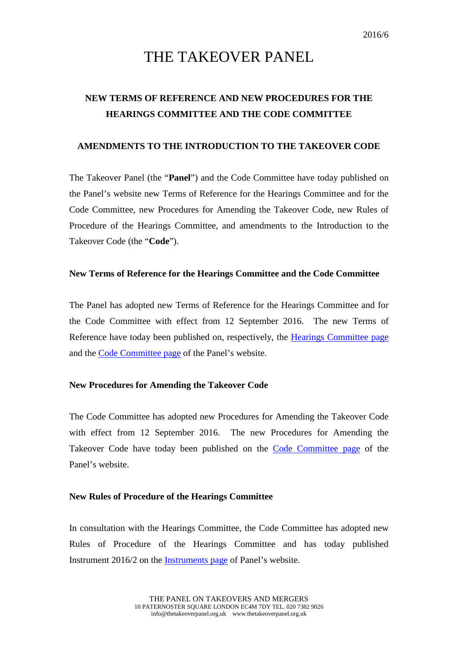# THE TAKEOVER PANEL

## **NEW TERMS OF REFERENCE AND NEW PROCEDURES FOR THE HEARINGS COMMITTEE AND THE CODE COMMITTEE**

#### **AMENDMENTS TO THE INTRODUCTION TO THE TAKEOVER CODE**

The Takeover Panel (the "**Panel**") and the Code Committee have today published on the Panel's website new Terms of Reference for the Hearings Committee and for the Code Committee, new Procedures for Amending the Takeover Code, new Rules of Procedure of the Hearings Committee, and amendments to the Introduction to the Takeover Code (the "**Code**").

#### **New Terms of Reference for the Hearings Committee and the Code Committee**

The Panel has adopted new Terms of Reference for the Hearings Committee and for the Code Committee with effect from 12 September 2016. The new Terms of Reference have today been published on, respectively, the [Hearings Committee page](http://www.thetakeoverpanel.org.uk/structure/committees/hearings-committee) and the [Code Committee page](http://www.thetakeoverpanel.org.uk/structure/committees/code-committee) of the Panel's website.

### **New Procedures for Amending the Takeover Code**

The Code Committee has adopted new Procedures for Amending the Takeover Code with effect from 12 September 2016. The new Procedures for Amending the Takeover Code have today been published on the [Code Committee page](http://www.thetakeoverpanel.org.uk/structure/committees/code-committee) of the Panel's website.

#### **New Rules of Procedure of the Hearings Committee**

In consultation with the Hearings Committee, the Code Committee has adopted new Rules of Procedure of the Hearings Committee and has today published Instrument 2016/2 on the [Instruments page](http://www.thetakeoverpanel.org.uk/the-code/download-code/list-of-instruments-and-links) of Panel's website.